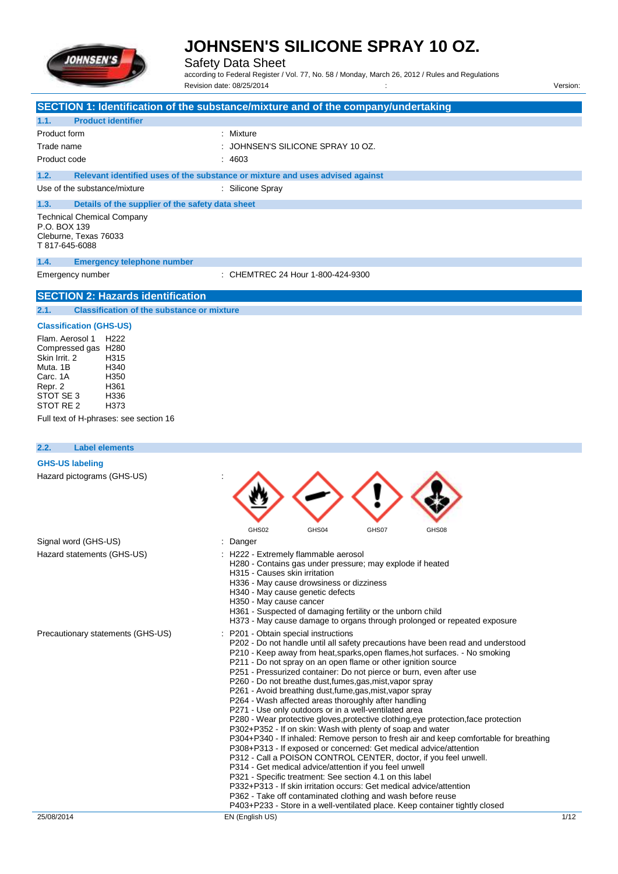

Safety Data Sheet

according to Federal Register / Vol. 77, No. 58 / Monday, March 26, 2012 / Rules and Regulations Revision date: 08/25/2014 / Version:

|                                                            | SECTION 1: Identification of the substance/mixture and of the company/undertaking                                                                   |
|------------------------------------------------------------|-----------------------------------------------------------------------------------------------------------------------------------------------------|
| 1.1.<br><b>Product identifier</b>                          |                                                                                                                                                     |
| Product form                                               | : Mixture                                                                                                                                           |
| Trade name                                                 | JOHNSEN'S SILICONE SPRAY 10 OZ.                                                                                                                     |
| Product code                                               | : 4603                                                                                                                                              |
| 1.2.                                                       | Relevant identified uses of the substance or mixture and uses advised against                                                                       |
| Use of the substance/mixture                               | : Silicone Spray                                                                                                                                    |
| 1.3.<br>Details of the supplier of the safety data sheet   |                                                                                                                                                     |
| <b>Technical Chemical Company</b><br>P.O. BOX 139          |                                                                                                                                                     |
| Cleburne, Texas 76033                                      |                                                                                                                                                     |
| T 817-645-6088                                             |                                                                                                                                                     |
| 1.4.<br><b>Emergency telephone number</b>                  |                                                                                                                                                     |
| Emergency number                                           | : CHEMTREC 24 Hour 1-800-424-9300                                                                                                                   |
| <b>SECTION 2: Hazards identification</b>                   |                                                                                                                                                     |
|                                                            |                                                                                                                                                     |
| 2.1.<br><b>Classification of the substance or mixture</b>  |                                                                                                                                                     |
| <b>Classification (GHS-US)</b>                             |                                                                                                                                                     |
| H <sub>222</sub><br>Flam. Aerosol 1<br>Compressed gas H280 |                                                                                                                                                     |
| Skin Irrit, 2<br>H315                                      |                                                                                                                                                     |
| Muta, 1B<br>H340<br>H350<br>Carc. 1A                       |                                                                                                                                                     |
| H361<br>Repr. 2                                            |                                                                                                                                                     |
| STOT SE 3<br>H336                                          |                                                                                                                                                     |
| STOT RE 2<br>H373                                          |                                                                                                                                                     |
| Full text of H-phrases: see section 16                     |                                                                                                                                                     |
|                                                            |                                                                                                                                                     |
| 2.2.<br><b>Label elements</b>                              |                                                                                                                                                     |
| <b>GHS-US labeling</b>                                     |                                                                                                                                                     |
| Hazard pictograms (GHS-US)                                 |                                                                                                                                                     |
|                                                            |                                                                                                                                                     |
|                                                            |                                                                                                                                                     |
|                                                            |                                                                                                                                                     |
|                                                            | GHS02<br>GHS04<br>GHS07<br>GHS08                                                                                                                    |
| Signal word (GHS-US)<br>Hazard statements (GHS-US)         | : Danger<br>H222 - Extremely flammable aerosol                                                                                                      |
|                                                            | H280 - Contains gas under pressure; may explode if heated                                                                                           |
|                                                            | H315 - Causes skin irritation                                                                                                                       |
|                                                            | H336 - May cause drowsiness or dizziness<br>H340 - May cause genetic defects                                                                        |
|                                                            | H350 - May cause cancer                                                                                                                             |
|                                                            | H361 - Suspected of damaging fertility or the unborn child<br>H373 - May cause damage to organs through prolonged or repeated exposure              |
| Precautionary statements (GHS-US)                          | P201 - Obtain special instructions                                                                                                                  |
|                                                            | P202 - Do not handle until all safety precautions have been read and understood                                                                     |
|                                                            | P210 - Keep away from heat, sparks, open flames, hot surfaces. - No smoking<br>P211 - Do not spray on an open flame or other ignition source        |
|                                                            | P251 - Pressurized container: Do not pierce or burn, even after use                                                                                 |
|                                                            | P260 - Do not breathe dust, fumes, gas, mist, vapor spray                                                                                           |
|                                                            | P261 - Avoid breathing dust, fume, gas, mist, vapor spray<br>P264 - Wash affected areas thoroughly after handling                                   |
|                                                            | P271 - Use only outdoors or in a well-ventilated area                                                                                               |
|                                                            | P280 - Wear protective gloves, protective clothing, eye protection, face protection                                                                 |
|                                                            | P302+P352 - If on skin: Wash with plenty of soap and water<br>P304+P340 - If inhaled: Remove person to fresh air and keep comfortable for breathing |
|                                                            | P308+P313 - If exposed or concerned: Get medical advice/attention                                                                                   |
|                                                            | P312 - Call a POISON CONTROL CENTER, doctor, if you feel unwell.                                                                                    |
|                                                            | P314 - Get medical advice/attention if you feel unwell<br>P321 - Specific treatment: See section 4.1 on this label                                  |
|                                                            | P332+P313 - If skin irritation occurs: Get medical advice/attention                                                                                 |
|                                                            | P362 - Take off contaminated clothing and wash before reuse                                                                                         |

P403+P233 - Store in a well-ventilated place. Keep container tightly closed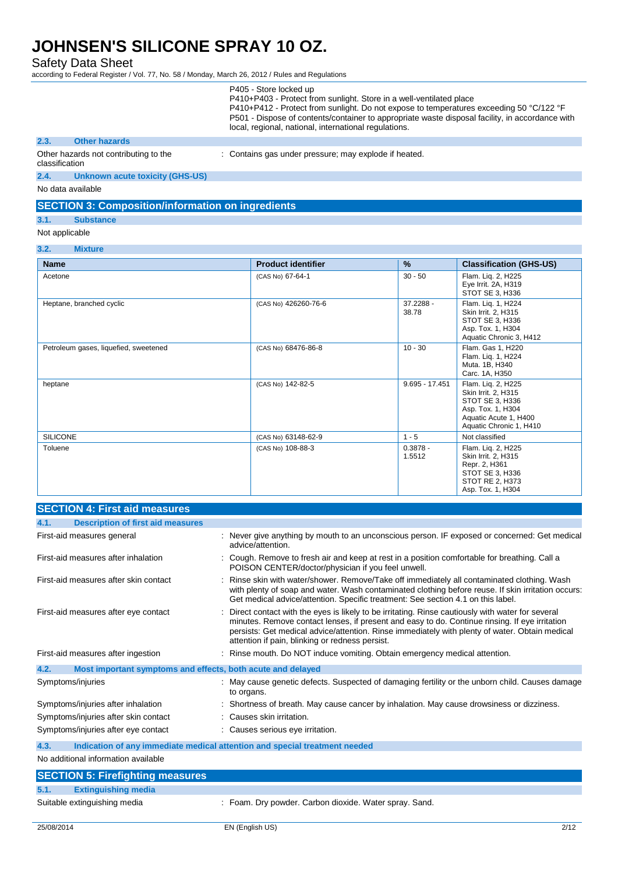Safety Data Sheet

according to Federal Register / Vol. 77, No. 58 / Monday, March 26, 2012 / Rules and Regulations

| P405 - Store locked up                                                                          |
|-------------------------------------------------------------------------------------------------|
| P410+P403 - Protect from sunlight. Store in a well-ventilated place                             |
| P410+P412 - Protect from sunlight. Do not expose to temperatures exceeding 50 °C/122 °F         |
| P501 - Dispose of contents/container to appropriate waste disposal facility, in accordance with |
| local, regional, national, international regulations.                                           |

#### **2.3. Other hazards**

Other hazards not contributing to the classification : Contains gas under pressure; may explode if heated.

**2.4. Unknown acute toxicity (GHS-US)**

No data available

### **SECTION 3: Composition/information on ingredients**

- **3.1. Substance**
- Not applicable

#### **3.2. Mixture**

| <b>Name</b>                           | <b>Product identifier</b> | $\frac{9}{6}$        | <b>Classification (GHS-US)</b>                                                                                                        |
|---------------------------------------|---------------------------|----------------------|---------------------------------------------------------------------------------------------------------------------------------------|
| Acetone                               | (CAS No) 67-64-1          | $30 - 50$            | Flam. Lig. 2, H225<br>Eye Irrit. 2A, H319<br>STOT SE 3, H336                                                                          |
| Heptane, branched cyclic              | (CAS No) 426260-76-6      | 37.2288 -<br>38.78   | Flam. Lig. 1, H224<br>Skin Irrit. 2, H315<br>STOT SE 3, H336<br>Asp. Tox. 1, H304<br>Aquatic Chronic 3, H412                          |
| Petroleum gases, liquefied, sweetened | (CAS No) 68476-86-8       | $10 - 30$            | Flam. Gas 1, H220<br>Flam. Lig. 1, H224<br>Muta. 1B, H340<br>Carc. 1A, H350                                                           |
| heptane                               | (CAS No) 142-82-5         | $9.695 - 17.451$     | Flam. Liq. 2, H225<br>Skin Irrit. 2, H315<br>STOT SE 3, H336<br>Asp. Tox. 1, H304<br>Aquatic Acute 1, H400<br>Aquatic Chronic 1, H410 |
| <b>SILICONE</b>                       | (CAS No) 63148-62-9       | $1 - 5$              | Not classified                                                                                                                        |
| Toluene                               | (CAS No) 108-88-3         | $0.3878 -$<br>1.5512 | Flam. Lig. 2, H225<br>Skin Irrit. 2, H315<br>Repr. 2, H361<br>STOT SE 3, H336<br>STOT RE 2, H373<br>Asp. Tox. 1, H304                 |

| <b>SECTION 4: First aid measures</b>                                |                                                                                                                                                                                                                                                                                                                                                         |
|---------------------------------------------------------------------|---------------------------------------------------------------------------------------------------------------------------------------------------------------------------------------------------------------------------------------------------------------------------------------------------------------------------------------------------------|
| <b>Description of first aid measures</b><br>4.1.                    |                                                                                                                                                                                                                                                                                                                                                         |
| First-aid measures general                                          | Never give anything by mouth to an unconscious person. IF exposed or concerned: Get medical<br>advice/attention.                                                                                                                                                                                                                                        |
| First-aid measures after inhalation                                 | Cough. Remove to fresh air and keep at rest in a position comfortable for breathing. Call a<br>POISON CENTER/doctor/physician if you feel unwell.                                                                                                                                                                                                       |
| First-aid measures after skin contact                               | Rinse skin with water/shower. Remove/Take off immediately all contaminated clothing. Wash<br>with plenty of soap and water. Wash contaminated clothing before reuse. If skin irritation occurs:<br>Get medical advice/attention. Specific treatment: See section 4.1 on this label.                                                                     |
| First-aid measures after eye contact                                | Direct contact with the eyes is likely to be irritating. Rinse cautiously with water for several<br>minutes. Remove contact lenses, if present and easy to do. Continue rinsing. If eye irritation<br>persists: Get medical advice/attention. Rinse immediately with plenty of water. Obtain medical<br>attention if pain, blinking or redness persist. |
| First-aid measures after ingestion                                  | Rinse mouth. Do NOT induce vomiting. Obtain emergency medical attention.                                                                                                                                                                                                                                                                                |
| 4.2.<br>Most important symptoms and effects, both acute and delayed |                                                                                                                                                                                                                                                                                                                                                         |
| Symptoms/injuries                                                   | May cause genetic defects. Suspected of damaging fertility or the unborn child. Causes damage<br>to organs.                                                                                                                                                                                                                                             |
| Symptoms/injuries after inhalation                                  | Shortness of breath. May cause cancer by inhalation. May cause drowsiness or dizziness.                                                                                                                                                                                                                                                                 |
| Symptoms/injuries after skin contact                                | Causes skin irritation.                                                                                                                                                                                                                                                                                                                                 |
| Symptoms/injuries after eye contact                                 | : Causes serious eye irritation.                                                                                                                                                                                                                                                                                                                        |
| 4.3.                                                                | Indication of any immediate medical attention and special treatment needed                                                                                                                                                                                                                                                                              |
| No additional information available                                 |                                                                                                                                                                                                                                                                                                                                                         |
| <b>SECTION 5: Firefighting measures</b>                             |                                                                                                                                                                                                                                                                                                                                                         |
| 5.1.<br><b>Extinguishing media</b>                                  |                                                                                                                                                                                                                                                                                                                                                         |

Suitable extinguishing media : Foam. Dry powder. Carbon dioxide. Water spray. Sand.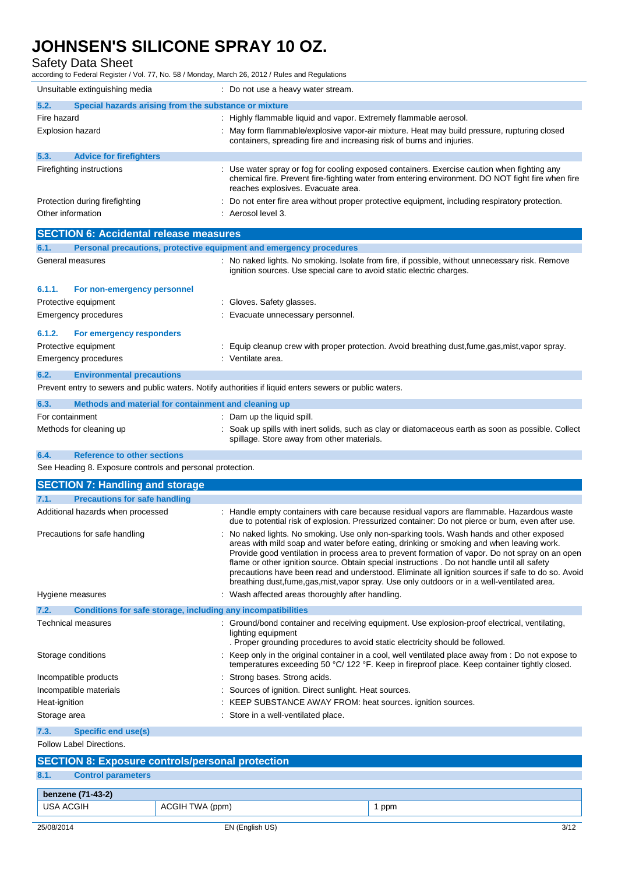Safety Data Sheet

according to Federal Register / Vol. 77, No. 58 / Monday, March 26, 2012 / Rules and Regulations

|                 | Unsuitable extinguishing media                                      | : Do not use a heavy water stream.                                                                                                                                                                                                   |
|-----------------|---------------------------------------------------------------------|--------------------------------------------------------------------------------------------------------------------------------------------------------------------------------------------------------------------------------------|
| 5.2.            | Special hazards arising from the substance or mixture               |                                                                                                                                                                                                                                      |
| Fire hazard     |                                                                     | : Highly flammable liquid and vapor. Extremely flammable aerosol.                                                                                                                                                                    |
|                 | <b>Explosion hazard</b>                                             | May form flammable/explosive vapor-air mixture. Heat may build pressure, rupturing closed<br>containers, spreading fire and increasing risk of burns and injuries.                                                                   |
| 5.3.            | <b>Advice for firefighters</b>                                      |                                                                                                                                                                                                                                      |
|                 | Firefighting instructions                                           | Use water spray or fog for cooling exposed containers. Exercise caution when fighting any<br>chemical fire. Prevent fire-fighting water from entering environment. DO NOT fight fire when fire<br>reaches explosives. Evacuate area. |
|                 | Protection during firefighting                                      | Do not enter fire area without proper protective equipment, including respiratory protection.                                                                                                                                        |
|                 | Other information                                                   | : Aerosol level 3.                                                                                                                                                                                                                   |
|                 | <b>SECTION 6: Accidental release measures</b>                       |                                                                                                                                                                                                                                      |
| 6.1.            | Personal precautions, protective equipment and emergency procedures |                                                                                                                                                                                                                                      |
|                 | General measures                                                    | No naked lights. No smoking. Isolate from fire, if possible, without unnecessary risk. Remove<br>ignition sources. Use special care to avoid static electric charges.                                                                |
| 6.1.1.          | For non-emergency personnel                                         |                                                                                                                                                                                                                                      |
|                 | Protective equipment                                                | Gloves. Safety glasses.                                                                                                                                                                                                              |
|                 | Emergency procedures                                                | Evacuate unnecessary personnel.                                                                                                                                                                                                      |
| 6.1.2.          | For emergency responders                                            |                                                                                                                                                                                                                                      |
|                 | Protective equipment                                                | Equip cleanup crew with proper protection. Avoid breathing dust, fume, gas, mist, vapor spray.                                                                                                                                       |
|                 | Emergency procedures                                                | : Ventilate area.                                                                                                                                                                                                                    |
| 6.2.            | <b>Environmental precautions</b>                                    |                                                                                                                                                                                                                                      |
|                 |                                                                     | Prevent entry to sewers and public waters. Notify authorities if liquid enters sewers or public waters.                                                                                                                              |
| 6.3.            | Methods and material for containment and cleaning up                |                                                                                                                                                                                                                                      |
| For containment |                                                                     | : Dam up the liquid spill.                                                                                                                                                                                                           |
|                 | Methods for cleaning up                                             | Soak up spills with inert solids, such as clay or diatomaceous earth as soon as possible. Collect<br>spillage. Store away from other materials.                                                                                      |

### **6.4. Reference to other sections**

See Heading 8. Exposure controls and personal protection.

| <b>SECTION 7: Handling and storage</b>                               |                                                                                                                                                                                                                                                                                                                                                                                                                                                                                                                                                                                             |
|----------------------------------------------------------------------|---------------------------------------------------------------------------------------------------------------------------------------------------------------------------------------------------------------------------------------------------------------------------------------------------------------------------------------------------------------------------------------------------------------------------------------------------------------------------------------------------------------------------------------------------------------------------------------------|
| <b>Precautions for safe handling</b><br>7.1.                         |                                                                                                                                                                                                                                                                                                                                                                                                                                                                                                                                                                                             |
| Additional hazards when processed                                    | : Handle empty containers with care because residual vapors are flammable. Hazardous waste<br>due to potential risk of explosion. Pressurized container: Do not pierce or burn, even after use.                                                                                                                                                                                                                                                                                                                                                                                             |
| Precautions for safe handling                                        | No naked lights. No smoking. Use only non-sparking tools. Wash hands and other exposed<br>areas with mild soap and water before eating, drinking or smoking and when leaving work.<br>Provide good ventilation in process area to prevent formation of vapor. Do not spray on an open<br>flame or other ignition source. Obtain special instructions . Do not handle until all safety<br>precautions have been read and understood. Eliminate all ignition sources if safe to do so. Avoid<br>breathing dust, fume, gas, mist, vapor spray. Use only outdoors or in a well-ventilated area. |
| Hygiene measures                                                     | : Wash affected areas thoroughly after handling.                                                                                                                                                                                                                                                                                                                                                                                                                                                                                                                                            |
| 7.2.<br>Conditions for safe storage, including any incompatibilities |                                                                                                                                                                                                                                                                                                                                                                                                                                                                                                                                                                                             |
| <b>Technical measures</b>                                            | : Ground/bond container and receiving equipment. Use explosion-proof electrical, ventilating,<br>lighting equipment<br>. Proper grounding procedures to avoid static electricity should be followed.                                                                                                                                                                                                                                                                                                                                                                                        |
| Storage conditions                                                   | Keep only in the original container in a cool, well ventilated place away from : Do not expose to<br>temperatures exceeding 50 °C/ 122 °F. Keep in fireproof place. Keep container tightly closed.                                                                                                                                                                                                                                                                                                                                                                                          |
| Incompatible products                                                | : Strong bases. Strong acids.                                                                                                                                                                                                                                                                                                                                                                                                                                                                                                                                                               |
| Incompatible materials                                               | : Sources of ignition. Direct sunlight. Heat sources.                                                                                                                                                                                                                                                                                                                                                                                                                                                                                                                                       |
| Heat-ignition                                                        | : KEEP SUBSTANCE AWAY FROM: heat sources. ignition sources.                                                                                                                                                                                                                                                                                                                                                                                                                                                                                                                                 |
| Storage area                                                         | : Store in a well-ventilated place.                                                                                                                                                                                                                                                                                                                                                                                                                                                                                                                                                         |
| 7.3.<br><b>Specific end use(s)</b>                                   |                                                                                                                                                                                                                                                                                                                                                                                                                                                                                                                                                                                             |

Follow Label Directions.

## **SECTION 8: Exposure controls/personal protection 8.1. Control parameters benzene (71-43-2)** USA ACGIH ACGIH TWA (ppm) 1 ppm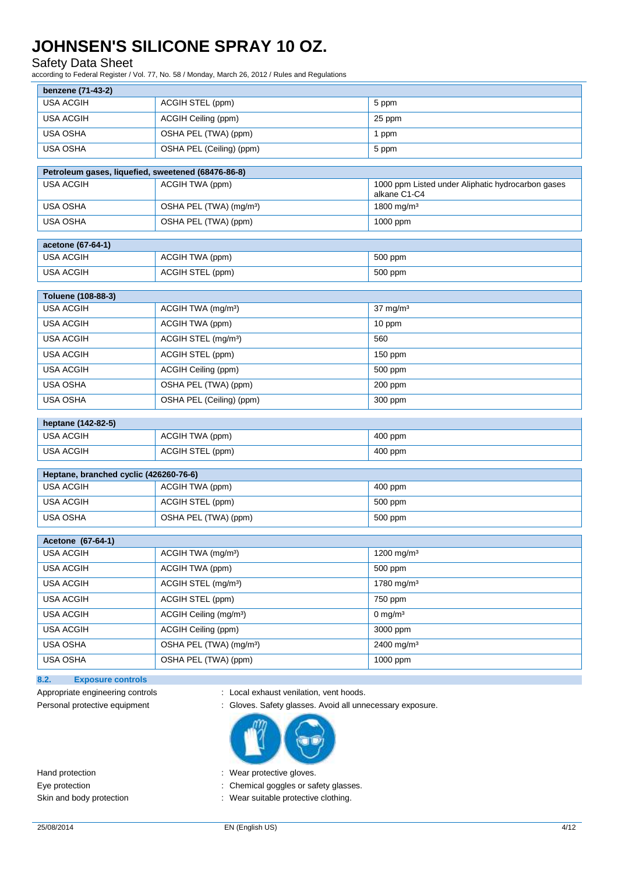### Safety Data Sheet

according to Federal Register / Vol. 77, No. 58 / Monday, March 26, 2012 / Rules and Regulations

| benzene (71-43-2)                                  |                                     |                                                   |  |  |
|----------------------------------------------------|-------------------------------------|---------------------------------------------------|--|--|
| <b>USA ACGIH</b><br>ACGIH STEL (ppm)<br>5 ppm      |                                     |                                                   |  |  |
| <b>USA ACGIH</b>                                   | ACGIH Ceiling (ppm)                 | 25 ppm                                            |  |  |
| <b>USA OSHA</b>                                    | OSHA PEL (TWA) (ppm)                | 1 ppm                                             |  |  |
| <b>USA OSHA</b>                                    | OSHA PEL (Ceiling) (ppm)            | 5 ppm                                             |  |  |
| Petroleum gases, liquefied, sweetened (68476-86-8) |                                     |                                                   |  |  |
| <b>USA ACGIH</b>                                   | ACGIH TWA (ppm)                     | 1000 ppm Listed under Aliphatic hydrocarbon gases |  |  |
|                                                    |                                     | alkane C1-C4                                      |  |  |
| <b>USA OSHA</b>                                    | OSHA PEL (TWA) (mg/m <sup>3</sup> ) | 1800 mg/m <sup>3</sup>                            |  |  |
| <b>USA OSHA</b>                                    | OSHA PEL (TWA) (ppm)                | 1000 ppm                                          |  |  |
| acetone (67-64-1)                                  |                                     |                                                   |  |  |
| <b>USA ACGIH</b>                                   | ACGIH TWA (ppm)                     | 500 ppm                                           |  |  |
| <b>USA ACGIH</b>                                   | ACGIH STEL (ppm)                    | 500 ppm                                           |  |  |
|                                                    |                                     |                                                   |  |  |
| Toluene (108-88-3)                                 |                                     |                                                   |  |  |
| <b>USA ACGIH</b>                                   | ACGIH TWA (mg/m <sup>3</sup> )      | $37 \text{ mg/m}^3$                               |  |  |
| <b>USA ACGIH</b>                                   | ACGIH TWA (ppm)                     | 10 ppm                                            |  |  |
| <b>USA ACGIH</b>                                   | ACGIH STEL (mg/m <sup>3</sup> )     | 560                                               |  |  |
| <b>USA ACGIH</b>                                   | ACGIH STEL (ppm)                    | 150 ppm                                           |  |  |
| <b>USA ACGIH</b>                                   | ACGIH Ceiling (ppm)                 | 500 ppm                                           |  |  |
| <b>USA OSHA</b>                                    | OSHA PEL (TWA) (ppm)                | 200 ppm                                           |  |  |
| <b>USA OSHA</b>                                    | OSHA PEL (Ceiling) (ppm)            | 300 ppm                                           |  |  |
| heptane (142-82-5)                                 |                                     |                                                   |  |  |
| <b>USA ACGIH</b>                                   | ACGIH TWA (ppm)                     | 400 ppm                                           |  |  |
| <b>USA ACGIH</b>                                   | ACGIH STEL (ppm)                    | 400 ppm                                           |  |  |
| Heptane, branched cyclic (426260-76-6)             |                                     |                                                   |  |  |
| <b>USA ACGIH</b>                                   | ACGIH TWA (ppm)                     | 400 ppm                                           |  |  |
| <b>USA ACGIH</b>                                   | ACGIH STEL (ppm)                    | 500 ppm                                           |  |  |
| <b>USA OSHA</b>                                    | OSHA PEL (TWA) (ppm)                | 500 ppm                                           |  |  |
|                                                    |                                     |                                                   |  |  |
| Acetone (67-64-1)                                  |                                     |                                                   |  |  |
| USA ACGIH                                          | ACGIH TWA (mg/m <sup>3</sup> )      | 1200 mg/m <sup>3</sup>                            |  |  |
| <b>USA ACGIH</b>                                   | ACGIH TWA (ppm)                     | 500 ppm                                           |  |  |
| USA ACGIH                                          | ACGIH STEL (mg/m <sup>3</sup> )     | 1780 mg/m $3$                                     |  |  |
| USA ACGIH                                          | ACGIH STEL (ppm)                    | 750 ppm                                           |  |  |
| USA ACGIH                                          | ACGIH Ceiling (mg/m <sup>3</sup> )  | 0 mg/m $3$                                        |  |  |
| USA ACGIH                                          | ACGIH Ceiling (ppm)                 | 3000 ppm                                          |  |  |
| USA OSHA                                           | OSHA PEL (TWA) (mg/m <sup>3</sup> ) | 2400 mg/m <sup>3</sup>                            |  |  |
| USA OSHA                                           | OSHA PEL (TWA) (ppm)                | 1000 ppm                                          |  |  |
|                                                    |                                     |                                                   |  |  |

**8.2. Exposure controls**

Appropriate engineering controls : Local exhaust venilation, vent hoods.

Personal protective equipment : Gloves. Safety glasses. Avoid all unnecessary exposure.



Hand protection **in the case of the contract of the contract of the contract of the contract of the contract of the contract of the contract of the contract of the contract of the contract of the contract of the contract o** 

Eye protection **in the case of the Chemical goggles or safety glasses.** 

Skin and body protection **in the suitable protective clothing** is Wear suitable protective clothing.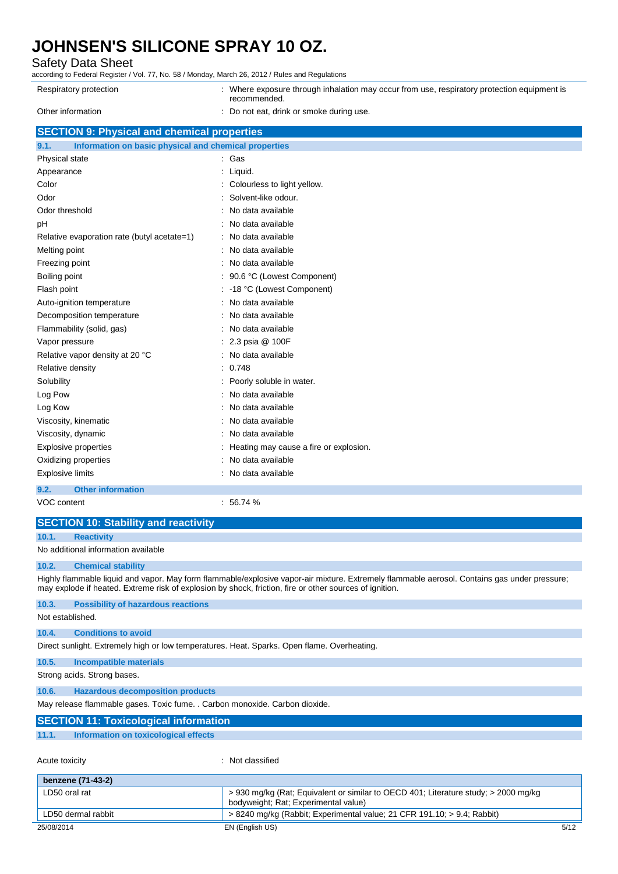### Safety Data Sheet

| Respiratory protection                                        | : Where exposure through inhalation may occur from use, respiratory protection equipment is<br>recommended. |
|---------------------------------------------------------------|-------------------------------------------------------------------------------------------------------------|
| Other information                                             | Do not eat, drink or smoke during use.                                                                      |
| <b>SECTION 9: Physical and chemical properties</b>            |                                                                                                             |
| Information on basic physical and chemical properties<br>9.1. |                                                                                                             |
| Physical state                                                | Gas                                                                                                         |
| Appearance                                                    | Liquid.                                                                                                     |
| Color                                                         | Colourless to light yellow.                                                                                 |
| Odor                                                          | Solvent-like odour.                                                                                         |
| Odor threshold                                                | No data available                                                                                           |
| рH                                                            | No data available                                                                                           |
| Relative evaporation rate (butyl acetate=1)                   | No data available                                                                                           |
| Melting point                                                 | No data available                                                                                           |
| Freezing point                                                | No data available                                                                                           |
| Boiling point                                                 | 90.6 °C (Lowest Component)                                                                                  |
| Flash point                                                   | -18 °C (Lowest Component)                                                                                   |
| Auto-ignition temperature                                     | No data available                                                                                           |
| Decomposition temperature                                     | No data available                                                                                           |
| Flammability (solid, gas)                                     | No data available                                                                                           |
| Vapor pressure                                                | 2.3 psia @ 100F                                                                                             |
| Relative vapor density at 20 °C                               | No data available                                                                                           |
| Relative density                                              | 0.748                                                                                                       |
| Solubility                                                    | Poorly soluble in water.                                                                                    |
| Log Pow                                                       | No data available                                                                                           |
| Log Kow                                                       | No data available                                                                                           |
| Viscosity, kinematic                                          | No data available                                                                                           |
| Viscosity, dynamic                                            | No data available                                                                                           |
| <b>Explosive properties</b>                                   | Heating may cause a fire or explosion.                                                                      |
| Oxidizing properties                                          | No data available                                                                                           |
| <b>Explosive limits</b>                                       | No data available                                                                                           |
| 9.2.<br><b>Other information</b>                              |                                                                                                             |
|                                                               |                                                                                                             |

#### VOC content : 56.74 %

### **SECTION 10: Stability and reactivity**

**10.1. Reactivity**

No additional information available

### **10.2. Chemical stability**

Highly flammable liquid and vapor. May form flammable/explosive vapor-air mixture. Extremely flammable aerosol. Contains gas under pressure; may explode if heated. Extreme risk of explosion by shock, friction, fire or other sources of ignition.

| 10.3.            | <b>Possibility of hazardous reactions</b>                                                   |
|------------------|---------------------------------------------------------------------------------------------|
| Not established. |                                                                                             |
| 10.4.            | <b>Conditions to avoid</b>                                                                  |
|                  | Direct sunlight. Extremely high or low temperatures. Heat. Sparks. Open flame. Overheating. |
| 10.5.            | Incompatible materials                                                                      |
|                  | Strong acids. Strong bases.                                                                 |
| 10.6.            | <b>Hazardous decomposition products</b>                                                     |
|                  | May release flammable gases. Toxic fume. . Carbon monoxide. Carbon dioxide.                 |
|                  | <b>SECTION 11: Toxicological information</b>                                                |
| 11.1.            | Information on toxicological effects                                                        |

Acute toxicity in the contract of the classified in the classified in the classified in the classified in the classified in the classified in the classified in the classified in the classified in the classified in the clas

| benzene (71-43-2)  |                                                                                                                             |      |
|--------------------|-----------------------------------------------------------------------------------------------------------------------------|------|
| LD50 oral rat      | > 930 mg/kg (Rat; Equivalent or similar to OECD 401; Literature study; > 2000 mg/kg<br>bodyweight; Rat; Experimental value) |      |
| LD50 dermal rabbit | > 8240 mg/kg (Rabbit; Experimental value; 21 CFR 191.10; > 9.4; Rabbit)                                                     |      |
| 25/08/2014         | EN (English US)                                                                                                             | 5/12 |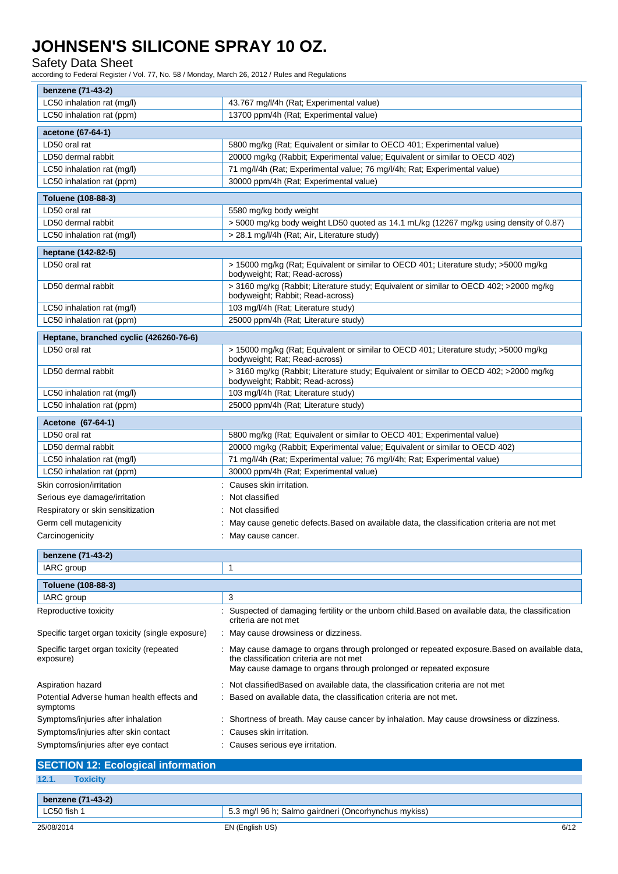Safety Data Sheet

╤

according to Federal Register / Vol. 77, No. 58 / Monday, March 26, 2012 / Rules and Regulations

| benzene (71-43-2)                                      |                                                                                                                                                                                                             |
|--------------------------------------------------------|-------------------------------------------------------------------------------------------------------------------------------------------------------------------------------------------------------------|
| LC50 inhalation rat (mg/l)                             | 43.767 mg/l/4h (Rat; Experimental value)                                                                                                                                                                    |
| LC50 inhalation rat (ppm)                              | 13700 ppm/4h (Rat; Experimental value)                                                                                                                                                                      |
| acetone (67-64-1)                                      |                                                                                                                                                                                                             |
| LD50 oral rat                                          | 5800 mg/kg (Rat; Equivalent or similar to OECD 401; Experimental value)                                                                                                                                     |
| LD50 dermal rabbit                                     | 20000 mg/kg (Rabbit; Experimental value; Equivalent or similar to OECD 402)                                                                                                                                 |
| LC50 inhalation rat (mg/l)                             | 71 mg/l/4h (Rat; Experimental value; 76 mg/l/4h; Rat; Experimental value)                                                                                                                                   |
| LC50 inhalation rat (ppm)                              | 30000 ppm/4h (Rat; Experimental value)                                                                                                                                                                      |
| Toluene (108-88-3)                                     |                                                                                                                                                                                                             |
| LD50 oral rat                                          | 5580 mg/kg body weight                                                                                                                                                                                      |
| LD50 dermal rabbit                                     | > 5000 mg/kg body weight LD50 quoted as 14.1 mL/kg (12267 mg/kg using density of 0.87)                                                                                                                      |
| LC50 inhalation rat (mg/l)                             | > 28.1 mg/l/4h (Rat; Air, Literature study)                                                                                                                                                                 |
| heptane (142-82-5)                                     |                                                                                                                                                                                                             |
| LD50 oral rat                                          | > 15000 mg/kg (Rat; Equivalent or similar to OECD 401; Literature study; >5000 mg/kg                                                                                                                        |
|                                                        | bodyweight; Rat; Read-across)                                                                                                                                                                               |
| LD50 dermal rabbit                                     | > 3160 mg/kg (Rabbit; Literature study; Equivalent or similar to OECD 402; >2000 mg/kg<br>bodyweight; Rabbit; Read-across)                                                                                  |
| LC50 inhalation rat (mg/l)                             | 103 mg/l/4h (Rat; Literature study)                                                                                                                                                                         |
| LC50 inhalation rat (ppm)                              | 25000 ppm/4h (Rat; Literature study)                                                                                                                                                                        |
| Heptane, branched cyclic (426260-76-6)                 |                                                                                                                                                                                                             |
| LD50 oral rat                                          | > 15000 mg/kg (Rat; Equivalent or similar to OECD 401; Literature study; >5000 mg/kg<br>bodyweight; Rat; Read-across)                                                                                       |
| LD50 dermal rabbit                                     | > 3160 mg/kg (Rabbit; Literature study; Equivalent or similar to OECD 402; > 2000 mg/kg<br>bodyweight; Rabbit; Read-across)                                                                                 |
| LC50 inhalation rat (mg/l)                             | 103 mg/l/4h (Rat; Literature study)                                                                                                                                                                         |
| LC50 inhalation rat (ppm)                              | 25000 ppm/4h (Rat; Literature study)                                                                                                                                                                        |
| Acetone (67-64-1)                                      |                                                                                                                                                                                                             |
| LD50 oral rat                                          | 5800 mg/kg (Rat; Equivalent or similar to OECD 401; Experimental value)                                                                                                                                     |
| LD50 dermal rabbit                                     | 20000 mg/kg (Rabbit; Experimental value; Equivalent or similar to OECD 402)                                                                                                                                 |
| LC50 inhalation rat (mg/l)                             | 71 mg/l/4h (Rat; Experimental value; 76 mg/l/4h; Rat; Experimental value)                                                                                                                                   |
| LC50 inhalation rat (ppm)                              | 30000 ppm/4h (Rat; Experimental value)                                                                                                                                                                      |
| Skin corrosion/irritation                              | : Causes skin irritation.                                                                                                                                                                                   |
| Serious eye damage/irritation                          | Not classified                                                                                                                                                                                              |
| Respiratory or skin sensitization                      | : Not classified                                                                                                                                                                                            |
| Germ cell mutagenicity                                 | May cause genetic defects. Based on available data, the classification criteria are not met                                                                                                                 |
| Carcinogenicity                                        | : May cause cancer.                                                                                                                                                                                         |
| benzene (71-43-2)                                      |                                                                                                                                                                                                             |
|                                                        | 1                                                                                                                                                                                                           |
| IARC group                                             |                                                                                                                                                                                                             |
| Toluene (108-88-3)                                     |                                                                                                                                                                                                             |
| IARC group                                             | 3                                                                                                                                                                                                           |
| Reproductive toxicity                                  | Suspected of damaging fertility or the unborn child.Based on available data, the classification<br>criteria are not met                                                                                     |
| Specific target organ toxicity (single exposure)       | : May cause drowsiness or dizziness.                                                                                                                                                                        |
| Specific target organ toxicity (repeated<br>exposure)  | May cause damage to organs through prolonged or repeated exposure. Based on available data,<br>the classification criteria are not met<br>May cause damage to organs through prolonged or repeated exposure |
| Aspiration hazard                                      | Not classifiedBased on available data, the classification criteria are not met                                                                                                                              |
| Potential Adverse human health effects and<br>symptoms | Based on available data, the classification criteria are not met.                                                                                                                                           |
| Symptoms/injuries after inhalation                     | Shortness of breath. May cause cancer by inhalation. May cause drowsiness or dizziness.                                                                                                                     |
| Symptoms/injuries after skin contact                   | Causes skin irritation.                                                                                                                                                                                     |
| Symptoms/injuries after eye contact                    | Causes serious eye irritation.                                                                                                                                                                              |

|       | <b>SECTION 12: Ecological information</b> |  |  |
|-------|-------------------------------------------|--|--|
| 12.1. | <b>Toxicity</b>                           |  |  |
|       | benzene (71-43-2)                         |  |  |

| C50 fish   | 96 h<br>aairdneri<br>(Oncorhynchus mykiss)<br>ma/l<br>Salmo<br>. |      |
|------------|------------------------------------------------------------------|------|
| 25/08/2014 | US<br>EN (English                                                | 6/12 |

 $\overline{\mathbf{r}}$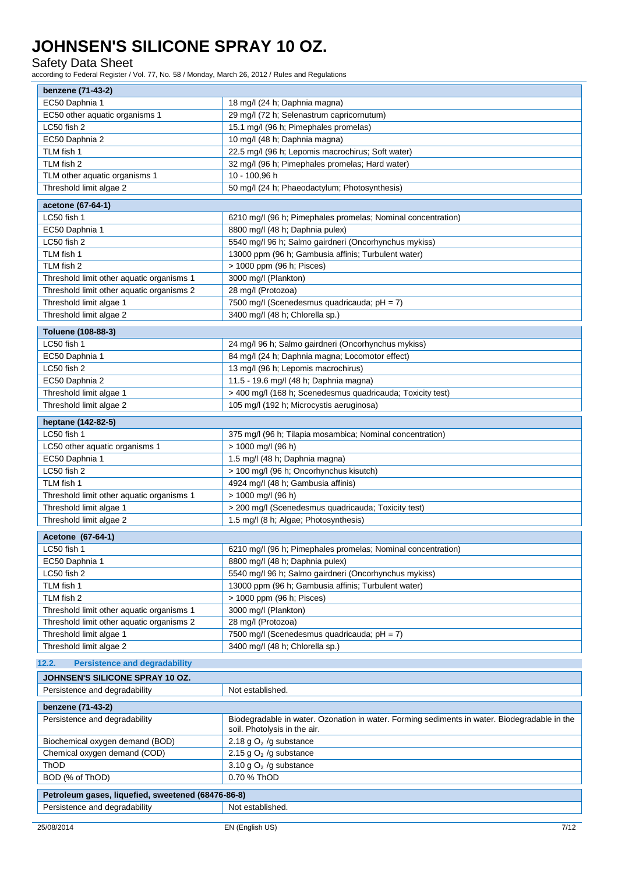Safety Data Sheet

according to Federal Register / Vol. 77, No. 58 / Monday, March 26, 2012 / Rules and Regulations

| benzene (71-43-2)                                  |                                                                                                                              |  |
|----------------------------------------------------|------------------------------------------------------------------------------------------------------------------------------|--|
| EC50 Daphnia 1                                     | 18 mg/l (24 h; Daphnia magna)                                                                                                |  |
| EC50 other aquatic organisms 1                     | 29 mg/l (72 h; Selenastrum capricornutum)                                                                                    |  |
| LC50 fish 2                                        | 15.1 mg/l (96 h; Pimephales promelas)                                                                                        |  |
| EC50 Daphnia 2                                     | 10 mg/l (48 h; Daphnia magna)                                                                                                |  |
| TLM fish 1                                         | 22.5 mg/l (96 h; Lepomis macrochirus; Soft water)                                                                            |  |
| TLM fish 2                                         | 32 mg/l (96 h; Pimephales promelas; Hard water)                                                                              |  |
| TLM other aquatic organisms 1                      | 10 - 100,96 h                                                                                                                |  |
| Threshold limit algae 2                            | 50 mg/l (24 h; Phaeodactylum; Photosynthesis)                                                                                |  |
| acetone (67-64-1)                                  |                                                                                                                              |  |
| LC50 fish 1                                        | 6210 mg/l (96 h; Pimephales promelas; Nominal concentration)                                                                 |  |
| EC50 Daphnia 1                                     | 8800 mg/l (48 h; Daphnia pulex)                                                                                              |  |
| LC50 fish 2                                        | 5540 mg/l 96 h; Salmo gairdneri (Oncorhynchus mykiss)                                                                        |  |
| TLM fish 1                                         | 13000 ppm (96 h; Gambusia affinis; Turbulent water)                                                                          |  |
| TLM fish 2                                         | > 1000 ppm (96 h; Pisces)                                                                                                    |  |
| Threshold limit other aquatic organisms 1          | 3000 mg/l (Plankton)                                                                                                         |  |
| Threshold limit other aquatic organisms 2          | 28 mg/l (Protozoa)                                                                                                           |  |
| Threshold limit algae 1                            | 7500 mg/l (Scenedesmus quadricauda; pH = 7)                                                                                  |  |
| Threshold limit algae 2                            | 3400 mg/l (48 h; Chlorella sp.)                                                                                              |  |
|                                                    |                                                                                                                              |  |
| Toluene (108-88-3)                                 |                                                                                                                              |  |
| LC50 fish 1                                        | 24 mg/l 96 h; Salmo gairdneri (Oncorhynchus mykiss)                                                                          |  |
| EC50 Daphnia 1                                     | 84 mg/l (24 h; Daphnia magna; Locomotor effect)                                                                              |  |
| LC50 fish 2                                        | 13 mg/l (96 h; Lepomis macrochirus)                                                                                          |  |
| EC50 Daphnia 2                                     | 11.5 - 19.6 mg/l (48 h; Daphnia magna)                                                                                       |  |
| Threshold limit algae 1                            | > 400 mg/l (168 h; Scenedesmus quadricauda; Toxicity test)                                                                   |  |
| Threshold limit algae 2                            | 105 mg/l (192 h; Microcystis aeruginosa)                                                                                     |  |
| heptane (142-82-5)                                 |                                                                                                                              |  |
| LC50 fish 1                                        | 375 mg/l (96 h; Tilapia mosambica; Nominal concentration)                                                                    |  |
| LC50 other aquatic organisms 1                     | > 1000 mg/l (96 h)                                                                                                           |  |
| EC50 Daphnia 1                                     | 1.5 mg/l (48 h; Daphnia magna)                                                                                               |  |
| LC50 fish 2                                        | > 100 mg/l (96 h; Oncorhynchus kisutch)                                                                                      |  |
| TLM fish 1                                         | 4924 mg/l (48 h; Gambusia affinis)                                                                                           |  |
| Threshold limit other aquatic organisms 1          | > 1000 mg/l (96 h)                                                                                                           |  |
| Threshold limit algae 1                            | > 200 mg/l (Scenedesmus quadricauda; Toxicity test)                                                                          |  |
| Threshold limit algae 2                            | 1.5 mg/l (8 h; Algae; Photosynthesis)                                                                                        |  |
|                                                    |                                                                                                                              |  |
| Acetone (67-64-1)                                  |                                                                                                                              |  |
| C50 fish 1                                         | 6210 mg/l (96 h; Pimephales promelas; Nominal concentration)                                                                 |  |
| EC50 Daphnia 1                                     | 8800 mg/l (48 h; Daphnia pulex)                                                                                              |  |
| LC50 fish 2                                        | 5540 mg/l 96 h; Salmo gairdneri (Oncorhynchus mykiss)                                                                        |  |
| TLM fish 1                                         | 13000 ppm (96 h; Gambusia affinis; Turbulent water)                                                                          |  |
| TLM fish 2                                         | > 1000 ppm (96 h; Pisces)                                                                                                    |  |
| Threshold limit other aquatic organisms 1          | 3000 mg/l (Plankton)                                                                                                         |  |
| Threshold limit other aquatic organisms 2          | 28 mg/l (Protozoa)                                                                                                           |  |
| Threshold limit algae 1                            | 7500 mg/l (Scenedesmus quadricauda; pH = 7)                                                                                  |  |
| Threshold limit algae 2                            | 3400 mg/l (48 h; Chlorella sp.)                                                                                              |  |
| 12.2.<br><b>Persistence and degradability</b>      |                                                                                                                              |  |
| JOHNSEN'S SILICONE SPRAY 10 OZ.                    |                                                                                                                              |  |
| Persistence and degradability                      | Not established.                                                                                                             |  |
| benzene (71-43-2)                                  |                                                                                                                              |  |
| Persistence and degradability                      | Biodegradable in water. Ozonation in water. Forming sediments in water. Biodegradable in the<br>soil. Photolysis in the air. |  |
| Biochemical oxygen demand (BOD)                    | 2.18 g $O2$ /g substance                                                                                                     |  |
| Chemical oxygen demand (COD)                       | 2.15 g $O2$ /g substance                                                                                                     |  |
| ThOD                                               | 3.10 g $O2$ /g substance                                                                                                     |  |
| BOD (% of ThOD)                                    | 0.70 % ThOD                                                                                                                  |  |
| Petroleum gases, liquefied, sweetened (68476-86-8) |                                                                                                                              |  |
| Persistence and degradability                      | Not established.                                                                                                             |  |
|                                                    |                                                                                                                              |  |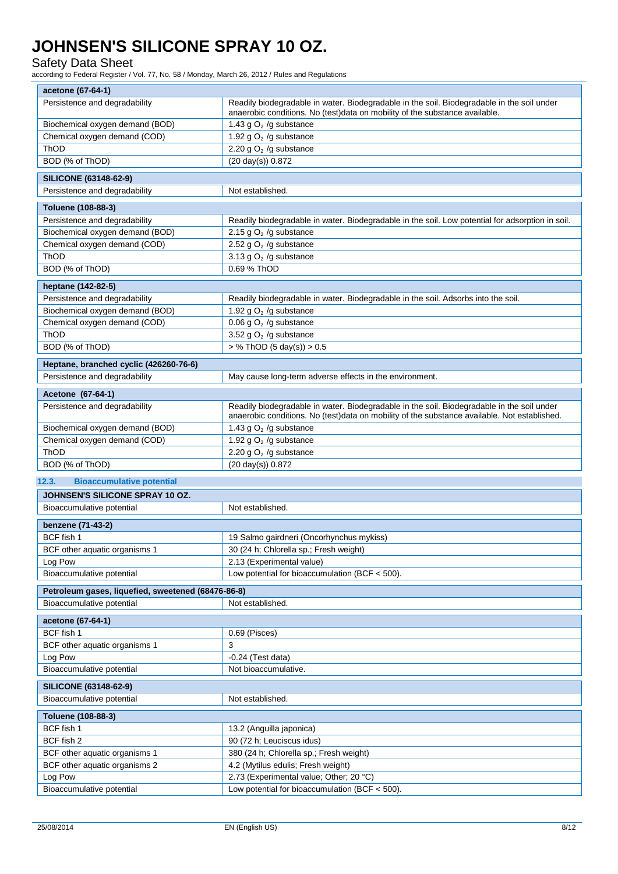### Safety Data Sheet

according to Federal Register / Vol. 77, No. 58 / Monday, March 26, 2012 / Rules and Regulations

| Persistence and degradability                                                   | Readily biodegradable in water. Biodegradable in the soil. Biodegradable in the soil under<br>anaerobic conditions. No (test)data on mobility of the substance available.                  |  |  |
|---------------------------------------------------------------------------------|--------------------------------------------------------------------------------------------------------------------------------------------------------------------------------------------|--|--|
| Biochemical oxygen demand (BOD)                                                 | 1.43 g $O2$ /g substance                                                                                                                                                                   |  |  |
| Chemical oxygen demand (COD)                                                    | 1.92 g $O2$ /g substance                                                                                                                                                                   |  |  |
| ThOD                                                                            | 2.20 g $O2$ /g substance                                                                                                                                                                   |  |  |
| BOD (% of ThOD)                                                                 | $(20 \text{ day(s)}) 0.872$                                                                                                                                                                |  |  |
| <b>SILICONE (63148-62-9)</b>                                                    |                                                                                                                                                                                            |  |  |
| Persistence and degradability                                                   | Not established.                                                                                                                                                                           |  |  |
| Toluene (108-88-3)                                                              |                                                                                                                                                                                            |  |  |
| Persistence and degradability                                                   | Readily biodegradable in water. Biodegradable in the soil. Low potential for adsorption in soil.                                                                                           |  |  |
| Biochemical oxygen demand (BOD)                                                 | 2.15 g $O2$ /g substance                                                                                                                                                                   |  |  |
| Chemical oxygen demand (COD)                                                    | 2.52 g $O2$ /g substance                                                                                                                                                                   |  |  |
| ThOD                                                                            | 3.13 g $O2$ /g substance                                                                                                                                                                   |  |  |
| BOD (% of ThOD)                                                                 | 0.69 % ThOD                                                                                                                                                                                |  |  |
| heptane (142-82-5)                                                              |                                                                                                                                                                                            |  |  |
| Persistence and degradability                                                   | Readily biodegradable in water. Biodegradable in the soil. Adsorbs into the soil.                                                                                                          |  |  |
| Biochemical oxygen demand (BOD)                                                 | 1.92 g $O2$ /g substance                                                                                                                                                                   |  |  |
| Chemical oxygen demand (COD)                                                    | 0.06 g $O2$ /g substance                                                                                                                                                                   |  |  |
| ThOD                                                                            | 3.52 g $O2$ /g substance                                                                                                                                                                   |  |  |
| BOD (% of ThOD)                                                                 | $>$ % ThOD (5 day(s)) $>$ 0.5                                                                                                                                                              |  |  |
| Heptane, branched cyclic (426260-76-6)                                          |                                                                                                                                                                                            |  |  |
| Persistence and degradability                                                   | May cause long-term adverse effects in the environment.                                                                                                                                    |  |  |
|                                                                                 |                                                                                                                                                                                            |  |  |
| Acetone (67-64-1)                                                               |                                                                                                                                                                                            |  |  |
| Persistence and degradability                                                   | Readily biodegradable in water. Biodegradable in the soil. Biodegradable in the soil under<br>anaerobic conditions. No (test)data on mobility of the substance available. Not established. |  |  |
| Biochemical oxygen demand (BOD)                                                 | 1.43 g $O2$ /g substance                                                                                                                                                                   |  |  |
| Chemical oxygen demand (COD)                                                    | 1.92 g $O2$ /g substance                                                                                                                                                                   |  |  |
| ThOD                                                                            | 2.20 g $O2$ /g substance                                                                                                                                                                   |  |  |
| BOD (% of ThOD)                                                                 | (20 day(s)) 0.872                                                                                                                                                                          |  |  |
| 12.3.<br><b>Bioaccumulative potential</b>                                       |                                                                                                                                                                                            |  |  |
| JOHNSEN'S SILICONE SPRAY 10 OZ.                                                 |                                                                                                                                                                                            |  |  |
| Bioaccumulative potential                                                       | Not established.                                                                                                                                                                           |  |  |
|                                                                                 |                                                                                                                                                                                            |  |  |
|                                                                                 |                                                                                                                                                                                            |  |  |
| benzene (71-43-2)<br>BCF fish 1                                                 |                                                                                                                                                                                            |  |  |
| BCF other aquatic organisms 1                                                   | 19 Salmo gairdneri (Oncorhynchus mykiss)<br>30 (24 h; Chlorella sp.; Fresh weight)                                                                                                         |  |  |
| Log Pow                                                                         | 2.13 (Experimental value)                                                                                                                                                                  |  |  |
| Bioaccumulative potential                                                       | Low potential for bioaccumulation (BCF $<$ 500).                                                                                                                                           |  |  |
|                                                                                 |                                                                                                                                                                                            |  |  |
| Petroleum gases, liquefied, sweetened (68476-86-8)<br>Bioaccumulative potential | Not established.                                                                                                                                                                           |  |  |
|                                                                                 |                                                                                                                                                                                            |  |  |
| acetone (67-64-1)                                                               |                                                                                                                                                                                            |  |  |
| BCF fish 1                                                                      | 0.69 (Pisces)                                                                                                                                                                              |  |  |
| BCF other aquatic organisms 1                                                   | 3                                                                                                                                                                                          |  |  |
| Log Pow                                                                         | $-0.24$ (Test data)                                                                                                                                                                        |  |  |
| Bioaccumulative potential                                                       | Not bioaccumulative.                                                                                                                                                                       |  |  |
| <b>SILICONE (63148-62-9)</b><br>Bioaccumulative potential                       | Not established.                                                                                                                                                                           |  |  |
|                                                                                 |                                                                                                                                                                                            |  |  |
| Toluene (108-88-3)                                                              |                                                                                                                                                                                            |  |  |
| BCF fish 1                                                                      | 13.2 (Anguilla japonica)                                                                                                                                                                   |  |  |
| BCF fish 2                                                                      | 90 (72 h; Leuciscus idus)                                                                                                                                                                  |  |  |
| BCF other aquatic organisms 1                                                   | 380 (24 h; Chlorella sp.; Fresh weight)                                                                                                                                                    |  |  |
| BCF other aquatic organisms 2                                                   | 4.2 (Mytilus edulis; Fresh weight)                                                                                                                                                         |  |  |
| Log Pow<br>Bioaccumulative potential                                            | 2.73 (Experimental value; Other; 20 °C)<br>Low potential for bioaccumulation (BCF $<$ 500).                                                                                                |  |  |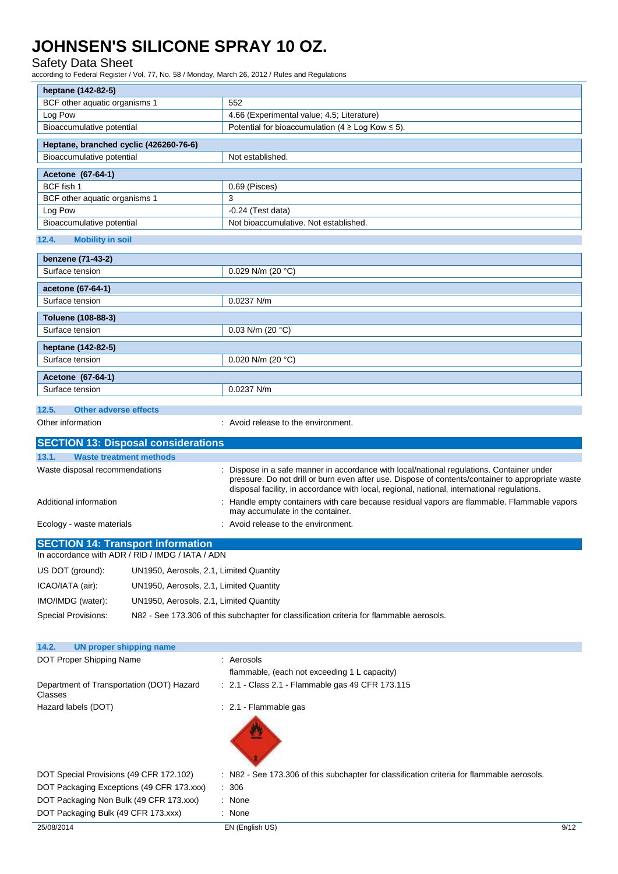### Safety Data Sheet

according to Federal Register / Vol. 77, No. 58 / Monday, March 26, 2012 / Rules and Regulations

| heptane (142-82-5)                                                                           |                                         |                                                                                                                               |  |
|----------------------------------------------------------------------------------------------|-----------------------------------------|-------------------------------------------------------------------------------------------------------------------------------|--|
| BCF other aquatic organisms 1                                                                |                                         | 552                                                                                                                           |  |
| Log Pow                                                                                      |                                         | 4.66 (Experimental value; 4.5; Literature)                                                                                    |  |
| Bioaccumulative potential                                                                    |                                         | Potential for bioaccumulation (4 $\geq$ Log Kow $\leq$ 5).                                                                    |  |
| Heptane, branched cyclic (426260-76-6)                                                       |                                         |                                                                                                                               |  |
| Bioaccumulative potential                                                                    |                                         | Not established.                                                                                                              |  |
| Acetone (67-64-1)                                                                            |                                         |                                                                                                                               |  |
| BCF fish 1                                                                                   |                                         | 0.69 (Pisces)                                                                                                                 |  |
| BCF other aquatic organisms 1                                                                |                                         | 3                                                                                                                             |  |
| Log Pow                                                                                      |                                         | $-0.24$ (Test data)                                                                                                           |  |
| Bioaccumulative potential                                                                    |                                         | Not bioaccumulative. Not established.                                                                                         |  |
|                                                                                              |                                         |                                                                                                                               |  |
| 12.4.<br><b>Mobility in soil</b>                                                             |                                         |                                                                                                                               |  |
| benzene (71-43-2)                                                                            |                                         |                                                                                                                               |  |
| Surface tension                                                                              |                                         | 0.029 N/m (20 $°C$ )                                                                                                          |  |
| acetone (67-64-1)                                                                            |                                         |                                                                                                                               |  |
| Surface tension                                                                              |                                         | 0.0237 N/m                                                                                                                    |  |
|                                                                                              |                                         |                                                                                                                               |  |
| Toluene (108-88-3)<br>Surface tension                                                        |                                         | 0.03 N/m (20 $°C$ )                                                                                                           |  |
|                                                                                              |                                         |                                                                                                                               |  |
| heptane (142-82-5)                                                                           |                                         |                                                                                                                               |  |
| Surface tension                                                                              |                                         | 0.020 N/m (20 $°C$ )                                                                                                          |  |
| Acetone (67-64-1)                                                                            |                                         |                                                                                                                               |  |
| Surface tension                                                                              |                                         | 0.0237 N/m                                                                                                                    |  |
|                                                                                              |                                         |                                                                                                                               |  |
| 12.5.<br><b>Other adverse effects</b>                                                        |                                         |                                                                                                                               |  |
| Other information                                                                            |                                         | : Avoid release to the environment.                                                                                           |  |
| <b>SECTION 13: Disposal considerations</b>                                                   |                                         |                                                                                                                               |  |
| 13.1.<br><b>Waste treatment methods</b>                                                      |                                         |                                                                                                                               |  |
| Waste disposal recommendations                                                               |                                         | Dispose in a safe manner in accordance with local/national regulations. Container under                                       |  |
|                                                                                              |                                         | pressure. Do not drill or burn even after use. Dispose of contents/container to appropriate waste                             |  |
|                                                                                              |                                         | disposal facility, in accordance with local, regional, national, international regulations.                                   |  |
| Additional information                                                                       |                                         | Handle empty containers with care because residual vapors are flammable. Flammable vapors<br>may accumulate in the container. |  |
| Ecology - waste materials                                                                    |                                         | : Avoid release to the environment.                                                                                           |  |
|                                                                                              |                                         |                                                                                                                               |  |
| <b>SECTION 14: Transport information</b><br>In accordance with ADR / RID / IMDG / IATA / ADN |                                         |                                                                                                                               |  |
|                                                                                              |                                         |                                                                                                                               |  |
| US DOT (ground):                                                                             | UN1950, Aerosols, 2.1, Limited Quantity |                                                                                                                               |  |
| ICAO/IATA (air):                                                                             | UN1950, Aerosols, 2.1, Limited Quantity |                                                                                                                               |  |
| IMO/IMDG (water):                                                                            | UN1950, Aerosols, 2.1, Limited Quantity |                                                                                                                               |  |
| Special Provisions:                                                                          |                                         | N82 - See 173.306 of this subchapter for classification criteria for flammable aerosols.                                      |  |
|                                                                                              |                                         |                                                                                                                               |  |
|                                                                                              |                                         |                                                                                                                               |  |
| 14.2.<br><b>UN proper shipping name</b>                                                      |                                         |                                                                                                                               |  |
| DOT Proper Shipping Name                                                                     |                                         | : Aerosols                                                                                                                    |  |
|                                                                                              |                                         | flammable, (each not exceeding 1 L capacity)                                                                                  |  |
| Department of Transportation (DOT) Hazard<br>Classes                                         |                                         | : 2.1 - Class 2.1 - Flammable gas 49 CFR 173.115                                                                              |  |
| Hazard labels (DOT)                                                                          |                                         | : 2.1 Flammable gas                                                                                                           |  |
|                                                                                              |                                         |                                                                                                                               |  |
|                                                                                              |                                         |                                                                                                                               |  |
|                                                                                              |                                         |                                                                                                                               |  |
|                                                                                              |                                         |                                                                                                                               |  |
|                                                                                              |                                         |                                                                                                                               |  |
| DOT Special Provisions (49 CFR 172.102)                                                      |                                         | : N82 - See 173.306 of this subchapter for classification criteria for flammable aerosols.                                    |  |
| DOT Packaging Exceptions (49 CFR 173.xxx)                                                    |                                         | 306                                                                                                                           |  |
| DOT Packaging Non Bulk (49 CFR 173.xxx)                                                      |                                         | : None                                                                                                                        |  |
| DOT Packaging Bulk (49 CFR 173.xxx)                                                          |                                         | : None                                                                                                                        |  |
| 25/08/2014                                                                                   |                                         | EN (English US)<br>9/12                                                                                                       |  |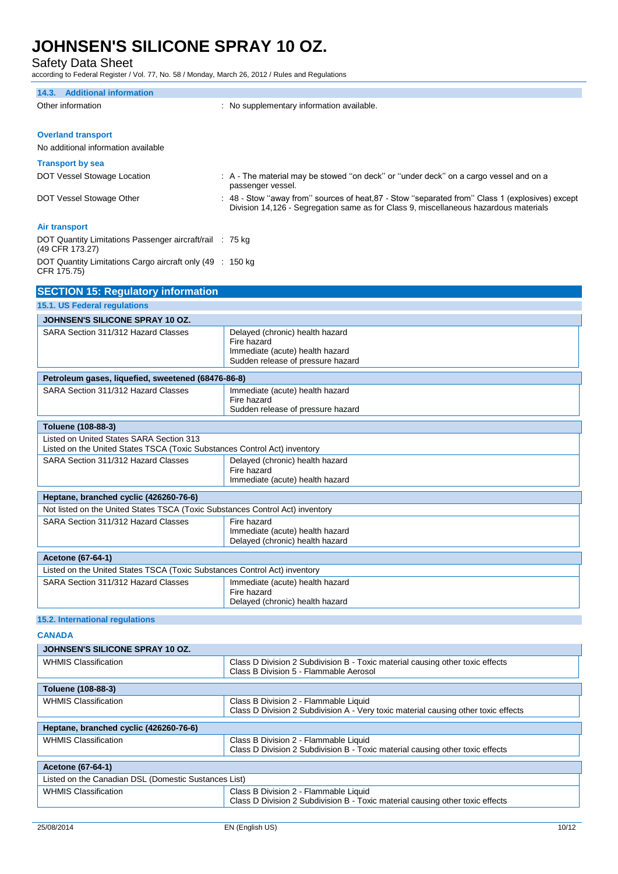Safety Data Sheet

according to Federal Register / Vol. 77, No. 58 / Monday, March 26, 2012 / Rules and Regulations

| 14.3. Additional information                                                                                          |                                                                                                                                                                                         |  |
|-----------------------------------------------------------------------------------------------------------------------|-----------------------------------------------------------------------------------------------------------------------------------------------------------------------------------------|--|
| Other information                                                                                                     | : No supplementary information available.                                                                                                                                               |  |
|                                                                                                                       |                                                                                                                                                                                         |  |
| <b>Overland transport</b>                                                                                             |                                                                                                                                                                                         |  |
| No additional information available                                                                                   |                                                                                                                                                                                         |  |
|                                                                                                                       |                                                                                                                                                                                         |  |
| <b>Transport by sea</b>                                                                                               |                                                                                                                                                                                         |  |
| DOT Vessel Stowage Location                                                                                           | : A - The material may be stowed "on deck" or "under deck" on a cargo vessel and on a<br>passenger vessel.                                                                              |  |
| DOT Vessel Stowage Other                                                                                              | : 48 - Stow "away from" sources of heat, 87 - Stow "separated from" Class 1 (explosives) except<br>Division 14,126 - Segregation same as for Class 9, miscellaneous hazardous materials |  |
| <b>Air transport</b>                                                                                                  |                                                                                                                                                                                         |  |
| DOT Quantity Limitations Passenger aircraft/rail : 75 kg<br>(49 CFR 173.27)                                           |                                                                                                                                                                                         |  |
| DOT Quantity Limitations Cargo aircraft only (49 : 150 kg<br>CFR 175.75)                                              |                                                                                                                                                                                         |  |
| <b>SECTION 15: Regulatory information</b>                                                                             |                                                                                                                                                                                         |  |
| 15.1. US Federal regulations                                                                                          |                                                                                                                                                                                         |  |
| JOHNSEN'S SILICONE SPRAY 10 OZ.                                                                                       |                                                                                                                                                                                         |  |
| SARA Section 311/312 Hazard Classes                                                                                   | Delayed (chronic) health hazard                                                                                                                                                         |  |
|                                                                                                                       | Fire hazard                                                                                                                                                                             |  |
|                                                                                                                       | Immediate (acute) health hazard<br>Sudden release of pressure hazard                                                                                                                    |  |
|                                                                                                                       |                                                                                                                                                                                         |  |
| Petroleum gases, liquefied, sweetened (68476-86-8)<br>SARA Section 311/312 Hazard Classes                             | Immediate (acute) health hazard                                                                                                                                                         |  |
|                                                                                                                       | Fire hazard<br>Sudden release of pressure hazard                                                                                                                                        |  |
| Toluene (108-88-3)                                                                                                    |                                                                                                                                                                                         |  |
| Listed on United States SARA Section 313<br>Listed on the United States TSCA (Toxic Substances Control Act) inventory |                                                                                                                                                                                         |  |
| SARA Section 311/312 Hazard Classes                                                                                   | Delayed (chronic) health hazard                                                                                                                                                         |  |
|                                                                                                                       | Fire hazard<br>Immediate (acute) health hazard                                                                                                                                          |  |
| Heptane, branched cyclic (426260-76-6)                                                                                |                                                                                                                                                                                         |  |
| Not listed on the United States TSCA (Toxic Substances Control Act) inventory                                         |                                                                                                                                                                                         |  |
| SARA Section 311/312 Hazard Classes                                                                                   | Fire hazard<br>Immediate (acute) health hazard<br>Delayed (chronic) health hazard                                                                                                       |  |
| Acetone (67-64-1)                                                                                                     |                                                                                                                                                                                         |  |
| Listed on the United States TSCA (Toxic Substances Control Act) inventory                                             |                                                                                                                                                                                         |  |
| SARA Section 311/312 Hazard Classes                                                                                   | Immediate (acute) health hazard<br>Fire hazard<br>Delayed (chronic) health hazard                                                                                                       |  |
|                                                                                                                       |                                                                                                                                                                                         |  |
| 15.2. International regulations                                                                                       |                                                                                                                                                                                         |  |
| <b>CANADA</b><br>JOHNSEN'S SILICONE SPRAY 10 OZ.                                                                      |                                                                                                                                                                                         |  |
| <b>WHMIS Classification</b>                                                                                           | Class D Division 2 Subdivision B - Toxic material causing other toxic effects                                                                                                           |  |
|                                                                                                                       | Class B Division 5 - Flammable Aerosol                                                                                                                                                  |  |
| Toluene (108-88-3)                                                                                                    |                                                                                                                                                                                         |  |
| <b>WHMIS Classification</b>                                                                                           | Class B Division 2 - Flammable Liquid<br>Class D Division 2 Subdivision A - Very toxic material causing other toxic effects                                                             |  |
| Heptane, branched cyclic (426260-76-6)                                                                                |                                                                                                                                                                                         |  |
| <b>WHMIS Classification</b>                                                                                           | Class B Division 2 - Flammable Liquid<br>Class D Division 2 Subdivision B - Toxic material causing other toxic effects                                                                  |  |
| Acetone (67-64-1)                                                                                                     |                                                                                                                                                                                         |  |
| Listed on the Canadian DSL (Domestic Sustances List)                                                                  |                                                                                                                                                                                         |  |

Class D Division 2 Subdivision B - Toxic material causing other toxic effects

WHMIS Classification  $\vert$  Class B Division 2 - Flammable Liquid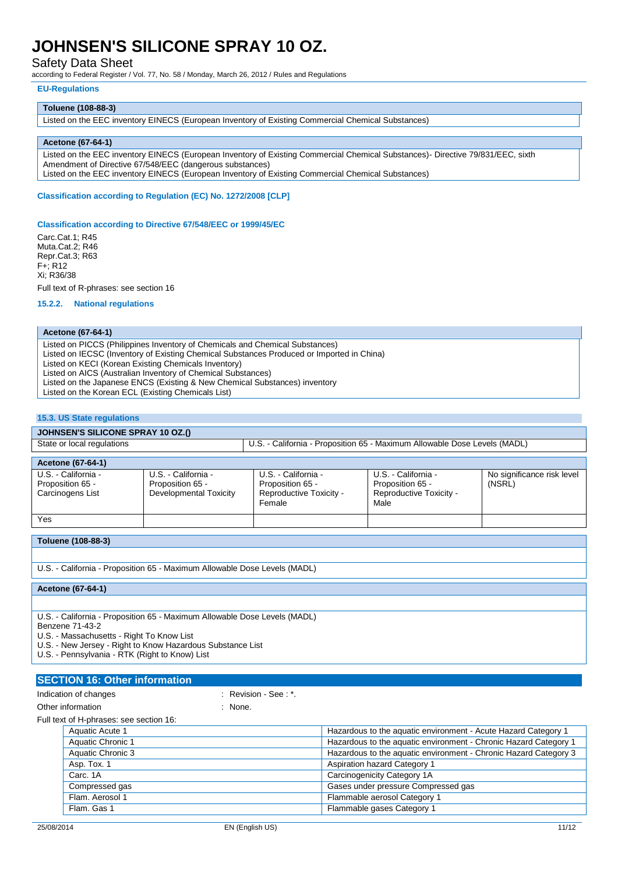Safety Data Sheet

according to Federal Register / Vol. 77, No. 58 / Monday, March 26, 2012 / Rules and Regulations

#### **EU-Regulations**

#### **Toluene (108-88-3)**

Listed on the EEC inventory EINECS (European Inventory of Existing Commercial Chemical Substances)

#### **Acetone (67-64-1)**

Listed on the EEC inventory EINECS (European Inventory of Existing Commercial Chemical Substances)- Directive 79/831/EEC, sixth Amendment of Directive 67/548/EEC (dangerous substances) Listed on the EEC inventory EINECS (European Inventory of Existing Commercial Chemical Substances)

#### **Classification according to Regulation (EC) No. 1272/2008 [CLP]**

#### **Classification according to Directive 67/548/EEC or 1999/45/EC**

Carc.Cat.1; R45 Muta.Cat.2; R46 Repr.Cat.3; R63 F+; R12 Xi; R36/38

Full text of R-phrases: see section 16

### **15.2.2. National regulations**

#### **Acetone (67-64-1)**

Listed on PICCS (Philippines Inventory of Chemicals and Chemical Substances)

Listed on IECSC (Inventory of Existing Chemical Substances Produced or Imported in China)

Listed on KECI (Korean Existing Chemicals Inventory)

Listed on AICS (Australian Inventory of Chemical Substances)

Listed on the Japanese ENCS (Existing & New Chemical Substances) inventory

Listed on the Korean ECL (Existing Chemicals List)

#### **15.3. US State regulations**

#### **JOHNSEN'S SILICONE SPRAY 10 OZ.()**

| State or local regulations                                  |                                                                   | U.S. - California - Proposition 65 - Maximum Allowable Dose Levels (MADL)    |                                                                            |                                      |
|-------------------------------------------------------------|-------------------------------------------------------------------|------------------------------------------------------------------------------|----------------------------------------------------------------------------|--------------------------------------|
| Acetone (67-64-1)                                           |                                                                   |                                                                              |                                                                            |                                      |
| U.S. - California -<br>Proposition 65 -<br>Carcinogens List | U.S. - California -<br>Proposition 65 -<br>Developmental Toxicity | U.S. - California -<br>Proposition 65 -<br>Reproductive Toxicity -<br>Female | U.S. - California -<br>Proposition 65 -<br>Reproductive Toxicity -<br>Male | No significance risk level<br>(NSRL) |
| Yes                                                         |                                                                   |                                                                              |                                                                            |                                      |

### **Toluene (108-88-3)**

U.S. - California - Proposition 65 - Maximum Allowable Dose Levels (MADL)

**Acetone (67-64-1)**

U.S. - California - Proposition 65 - Maximum Allowable Dose Levels (MADL) Benzene 71-43-2

U.S. - Massachusetts - Right To Know List

U.S. - New Jersey - Right to Know Hazardous Substance List

U.S. - Pennsylvania - RTK (Right to Know) List

#### **SECTION 16: Other information**

Indication of changes in the second of  $\mathbb{R}$  Revision - See : \*.

Other information in the contract of the contract of the contract of the contract of the contract of the contract of the contract of the contract of the contract of the contract of the contract of the contract of the contr

Full text of H-phrases: see section 16:

| Aquatic Acute 1   | Hazardous to the aquatic environment - Acute Hazard Category 1   |
|-------------------|------------------------------------------------------------------|
| Aquatic Chronic 1 | Hazardous to the aquatic environment - Chronic Hazard Category 1 |
| Aquatic Chronic 3 | Hazardous to the aquatic environment - Chronic Hazard Category 3 |
| Asp. Tox. 1       | <b>Aspiration hazard Category 1</b>                              |
| Carc. 1A          | Carcinogenicity Category 1A                                      |
| Compressed gas    | Gases under pressure Compressed gas                              |
| Flam, Aerosol 1   | Flammable aerosol Category 1                                     |
| Flam, Gas 1       | Flammable gases Category 1                                       |